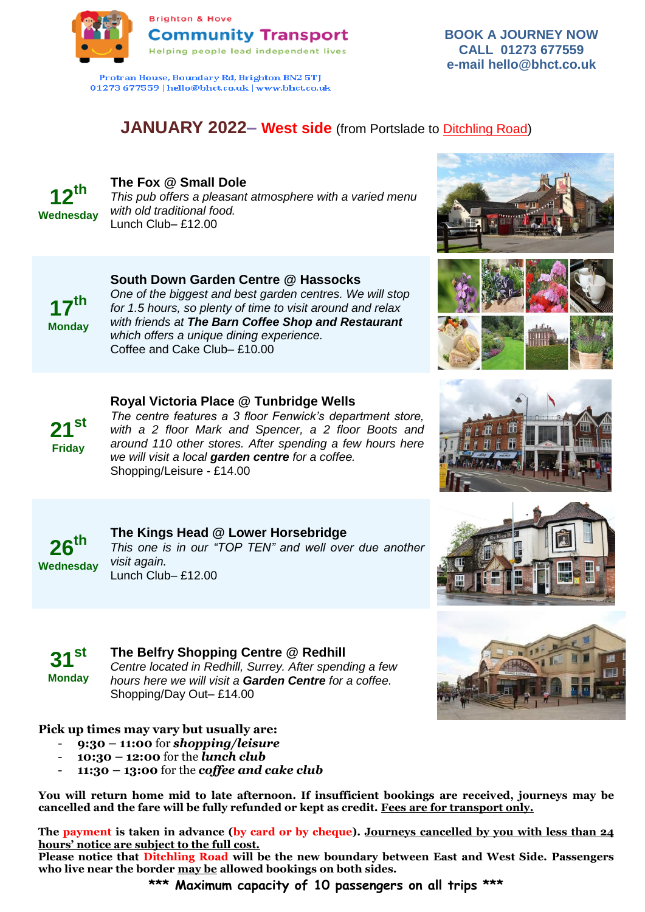

Protran House, Boundary Rd, Brighton BN2 5TJ 01273 677559 | hello@bhct.co.uk | www.bhct.co.uk

# **BOOK A JOURNEY NOW CALL 01273 677559 e-mail hello@bhct.co.uk**

# **JANUARY 2022– West side** (from Portslade to Ditchling Road)

**12th Wednesday**

# **The Fox @ Small Dole**

*This pub offers a pleasant atmosphere with a varied menu with old traditional food.*  Lunch Club– £12.00



# **South Down Garden Centre @ Hassocks**

*One of the biggest and best garden centres. We will stop for 1.5 hours, so plenty of time to visit around and relax with friends at The Barn Coffee Shop and Restaurant which offers a unique dining experience.*  Coffee and Cake Club– £10.00



# **Royal Victoria Place @ Tunbridge Wells**

*The centre features a 3 floor Fenwick's department store, with a 2 floor Mark and Spencer, a 2 floor Boots and around 110 other stores. After spending a few hours here we will visit a local garden centre for a coffee.*  Shopping/Leisure - £14.00



### **The Kings Head @ Lower Horsebridge** *This one is in our "TOP TEN" and well over due another visit again.*  Lunch Club– £12.00

**31st**

**Monday**

**The Belfry Shopping Centre @ Redhill**

*Centre located in Redhill, Surrey. After spending a few hours here we will visit a Garden Centre for a coffee.*  Shopping/Day Out– £14.00

# **Pick up times may vary but usually are:**

- **9:30 – 11:00** for *shopping/leisure*
- **10:30 – 12:00** for the *lunch club*
- **11:30 – 13:00** for the *coffee and cake club*

**You will return home mid to late afternoon. If insufficient bookings are received, journeys may be cancelled and the fare will be fully refunded or kept as credit. Fees are for transport only.**

**The payment is taken in advance (by card or by cheque). Journeys cancelled by you with less than 24 hours' notice are subject to the full cost.**

**Please notice that Ditchling Road will be the new boundary between East and West Side. Passengers who live near the border may be allowed bookings on both sides.**

**\*\*\* Maximum capacity of 10 passengers on all trips \*\*\***